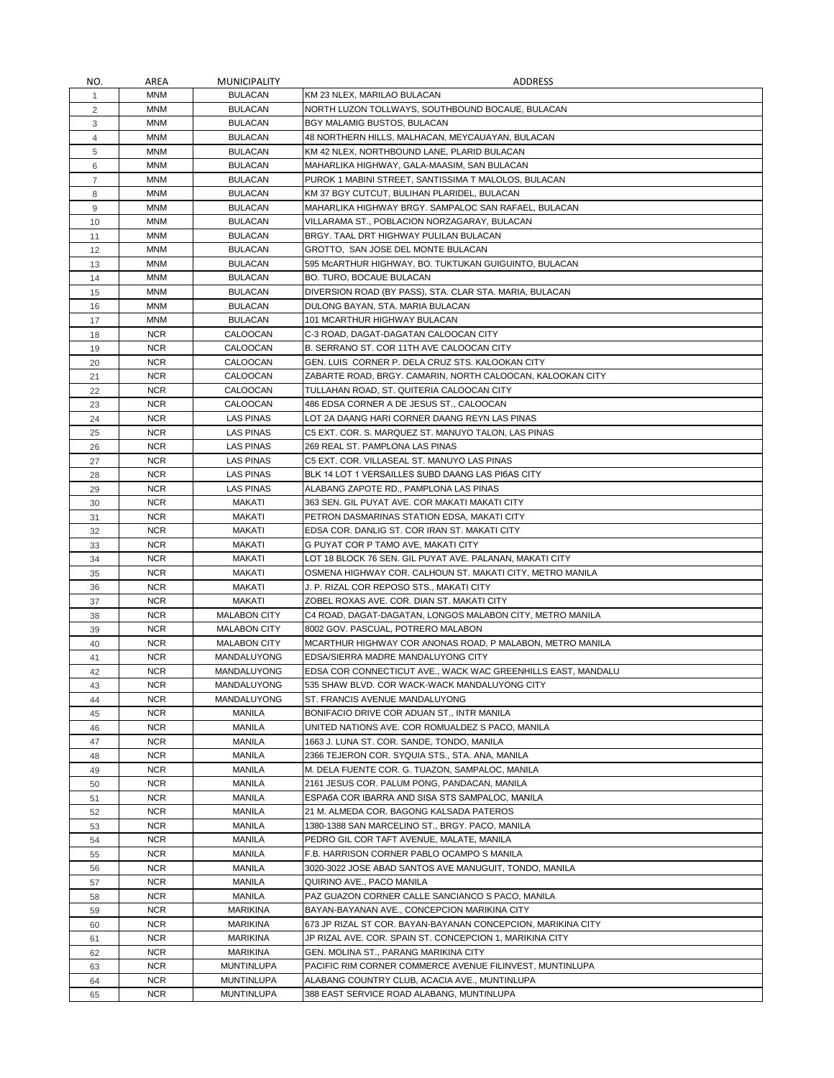| NO.            | AREA       | <b>MUNICIPALITY</b> | ADDRESS                                                      |
|----------------|------------|---------------------|--------------------------------------------------------------|
| $\mathbf{1}$   | MNM        | <b>BULACAN</b>      | KM 23 NLEX, MARILAO BULACAN                                  |
| 2              | MNM        | <b>BULACAN</b>      | NORTH LUZON TOLLWAYS, SOUTHBOUND BOCAUE, BULACAN             |
| 3              | <b>MNM</b> | <b>BULACAN</b>      | BGY MALAMIG BUSTOS, BULACAN                                  |
| 4              | MNM        | <b>BULACAN</b>      | 48 NORTHERN HILLS, MALHACAN, MEYCAUAYAN, BULACAN             |
| 5              | MNM        | <b>BULACAN</b>      | KM 42 NLEX, NORTHBOUND LANE, PLARID BULACAN                  |
| 6              | <b>MNM</b> | <b>BULACAN</b>      | MAHARLIKA HIGHWAY, GALA-MAASIM, SAN BULACAN                  |
| $\overline{7}$ | <b>MNM</b> | <b>BULACAN</b>      | PUROK 1 MABINI STREET, SANTISSIMA T MALOLOS, BULACAN         |
| 8              | MNM        | <b>BULACAN</b>      | KM 37 BGY CUTCUT, BULIHAN PLARIDEL, BULACAN                  |
| 9              | <b>MNM</b> | <b>BULACAN</b>      | MAHARLIKA HIGHWAY BRGY. SAMPALOC SAN RAFAEL, BULACAN         |
| 10             | MNM        | <b>BULACAN</b>      | VILLARAMA ST., POBLACION NORZAGARAY, BULACAN                 |
| 11             | MNM        | <b>BULACAN</b>      | BRGY. TAAL DRT HIGHWAY PULILAN BULACAN                       |
| 12             | <b>MNM</b> | <b>BULACAN</b>      | GROTTO, SAN JOSE DEL MONTE BULACAN                           |
| 13             | MNM        | <b>BULACAN</b>      | 595 MCARTHUR HIGHWAY, BO. TUKTUKAN GUIGUINTO, BULACAN        |
| 14             | <b>MNM</b> | <b>BULACAN</b>      | <b>BO. TURO, BOCAUE BULACAN</b>                              |
| 15             | <b>MNM</b> | <b>BULACAN</b>      | DIVERSION ROAD (BY PASS), STA. CLAR STA. MARIA, BULACAN      |
| 16             | <b>MNM</b> | <b>BULACAN</b>      | DULONG BAYAN, STA. MARIA BULACAN                             |
| 17             | MNM        | <b>BULACAN</b>      | 101 MCARTHUR HIGHWAY BULACAN                                 |
| 18             | <b>NCR</b> | CALOOCAN            | C-3 ROAD, DAGAT-DAGATAN CALOOCAN CITY                        |
| 19             | <b>NCR</b> | CALOOCAN            | B. SERRANO ST. COR 11TH AVE CALOOCAN CITY                    |
| 20             | <b>NCR</b> | CALOOCAN            | GEN. LUIS CORNER P. DELA CRUZ STS. KALOOKAN CITY             |
| 21             | <b>NCR</b> | CALOOCAN            | ZABARTE ROAD, BRGY. CAMARIN, NORTH CALOOCAN, KALOOKAN CITY   |
| 22             | <b>NCR</b> | CALOOCAN            | TULLAHAN ROAD, ST. QUITERIA CALOOCAN CITY                    |
| 23             | <b>NCR</b> | CALOOCAN            | 486 EDSA CORNER A DE JESUS ST., CALOOCAN                     |
| 24             | <b>NCR</b> | LAS PINAS           | LOT 2A DAANG HARI CORNER DAANG REYN LAS PINAS                |
| 25             | <b>NCR</b> | <b>LAS PINAS</b>    | C5 EXT. COR. S. MARQUEZ ST. MANUYO TALON, LAS PINAS          |
| 26             | <b>NCR</b> | <b>LAS PINAS</b>    | 269 REAL ST. PAMPLONA LAS PINAS                              |
| 27             | <b>NCR</b> | LAS PINAS           | C5 EXT. COR. VILLASEAL ST. MANUYO LAS PINAS                  |
| 28             | <b>NCR</b> | <b>LAS PINAS</b>    | BLK 14 LOT 1 VERSAILLES SUBD DAANG LAS PI6AS CITY            |
| 29             | <b>NCR</b> | <b>LAS PINAS</b>    | ALABANG ZAPOTE RD., PAMPLONA LAS PINAS                       |
| 30             | <b>NCR</b> | MAKATI              | 363 SEN. GIL PUYAT AVE. COR MAKATI MAKATI CITY               |
| 31             | <b>NCR</b> | MAKATI              | PETRON DASMARINAS STATION EDSA, MAKATI CITY                  |
| 32             | <b>NCR</b> | MAKATI              | EDSA COR. DANLIG ST. COR IRAN ST. MAKATI CITY                |
| 33             | <b>NCR</b> | MAKATI              | G PUYAT COR P TAMO AVE, MAKATI CITY                          |
| 34             | <b>NCR</b> | MAKATI              | LOT 18 BLOCK 76 SEN. GIL PUYAT AVE. PALANAN, MAKATI CITY     |
| 35             | <b>NCR</b> | MAKATI              | OSMENA HIGHWAY COR. CALHOUN ST. MAKATI CITY, METRO MANILA    |
| 36             | <b>NCR</b> | MAKATI              | J. P. RIZAL COR REPOSO STS., MAKATI CITY                     |
| 37             | <b>NCR</b> | MAKATI              | ZOBEL ROXAS AVE. COR. DIAN ST. MAKATI CITY                   |
| 38             | <b>NCR</b> | <b>MALABON CITY</b> | C4 ROAD, DAGAT-DAGATAN, LONGOS MALABON CITY, METRO MANILA    |
| 39             | <b>NCR</b> | <b>MALABON CITY</b> | 8002 GOV. PASCUAL, POTRERO MALABON                           |
| 40             | <b>NCR</b> | <b>MALABON CITY</b> | MCARTHUR HIGHWAY COR ANONAS ROAD, P MALABON, METRO MANILA    |
| 41             | <b>NCR</b> | MANDALUYONG         | EDSA/SIERRA MADRE MANDALUYONG CITY                           |
| 42             | <b>NCR</b> | MANDALUYONG         | EDSA COR CONNECTICUT AVE., WACK WAC GREENHILLS EAST, MANDALU |
| 43             | <b>NCR</b> | MANDALUYONG         | 535 SHAW BLVD. COR WACK-WACK MANDALUYONG CITY                |
| 44             | <b>NCR</b> | MANDALUYONG         | ST. FRANCIS AVENUE MANDALUYONG                               |
| 45             | <b>NCR</b> | MANILA              | BONIFACIO DRIVE COR ADUAN ST., INTR MANILA                   |
| 46             | <b>NCR</b> | <b>MANILA</b>       | UNITED NATIONS AVE. COR ROMUALDEZ S PACO, MANILA             |
| 47             | <b>NCR</b> | MANILA              | 1663 J. LUNA ST. COR. SANDE, TONDO, MANILA                   |
| 48             | <b>NCR</b> | MANILA              | 2366 TEJERON COR. SYQUIA STS., STA. ANA, MANILA              |
| 49             | <b>NCR</b> | MANILA              | M. DELA FUENTE COR. G. TUAZON, SAMPALOC, MANILA              |
| 50             | <b>NCR</b> | MANILA              | 2161 JESUS COR. PALUM PONG, PANDACAN, MANILA                 |
| 51             | <b>NCR</b> | MANILA              | ESPAGA COR IBARRA AND SISA STS SAMPALOC, MANILA              |
| 52             | <b>NCR</b> | MANILA              | 21 M. ALMEDA COR. BAGONG KALSADA PATEROS                     |
| 53             | <b>NCR</b> | MANILA              | 1380-1388 SAN MARCELINO ST., BRGY. PACO, MANILA              |
| 54             | <b>NCR</b> | MANILA              | PEDRO GIL COR TAFT AVENUE, MALATE, MANILA                    |
| 55             | <b>NCR</b> | MANILA              | F.B. HARRISON CORNER PABLO OCAMPO S MANILA                   |
| 56             | <b>NCR</b> | MANILA              | 3020-3022 JOSE ABAD SANTOS AVE MANUGUIT, TONDO, MANILA       |
| 57             | <b>NCR</b> | MANILA              | QUIRINO AVE., PACO MANILA                                    |
| 58             | <b>NCR</b> | MANILA              | PAZ GUAZON CORNER CALLE SANCIANCO S PACO, MANILA             |
| 59             | <b>NCR</b> | <b>MARIKINA</b>     | BAYAN-BAYANAN AVE., CONCEPCION MARIKINA CITY                 |
| 60             | <b>NCR</b> | <b>MARIKINA</b>     | 673 JP RIZAL ST COR. BAYAN-BAYANAN CONCEPCION, MARIKINA CITY |
| 61             | <b>NCR</b> | <b>MARIKINA</b>     | JP RIZAL AVE. COR. SPAIN ST. CONCEPCION 1, MARIKINA CITY     |
| 62             | <b>NCR</b> | <b>MARIKINA</b>     | GEN. MOLINA ST., PARANG MARIKINA CITY                        |
| 63             | <b>NCR</b> | <b>MUNTINLUPA</b>   | PACIFIC RIM CORNER COMMERCE AVENUE FILINVEST, MUNTINLUPA     |
|                | <b>NCR</b> | <b>MUNTINLUPA</b>   | ALABANG COUNTRY CLUB, ACACIA AVE., MUNTINLUPA                |
| 64             | <b>NCR</b> | <b>MUNTINLUPA</b>   | 388 EAST SERVICE ROAD ALABANG, MUNTINLUPA                    |
| 65             |            |                     |                                                              |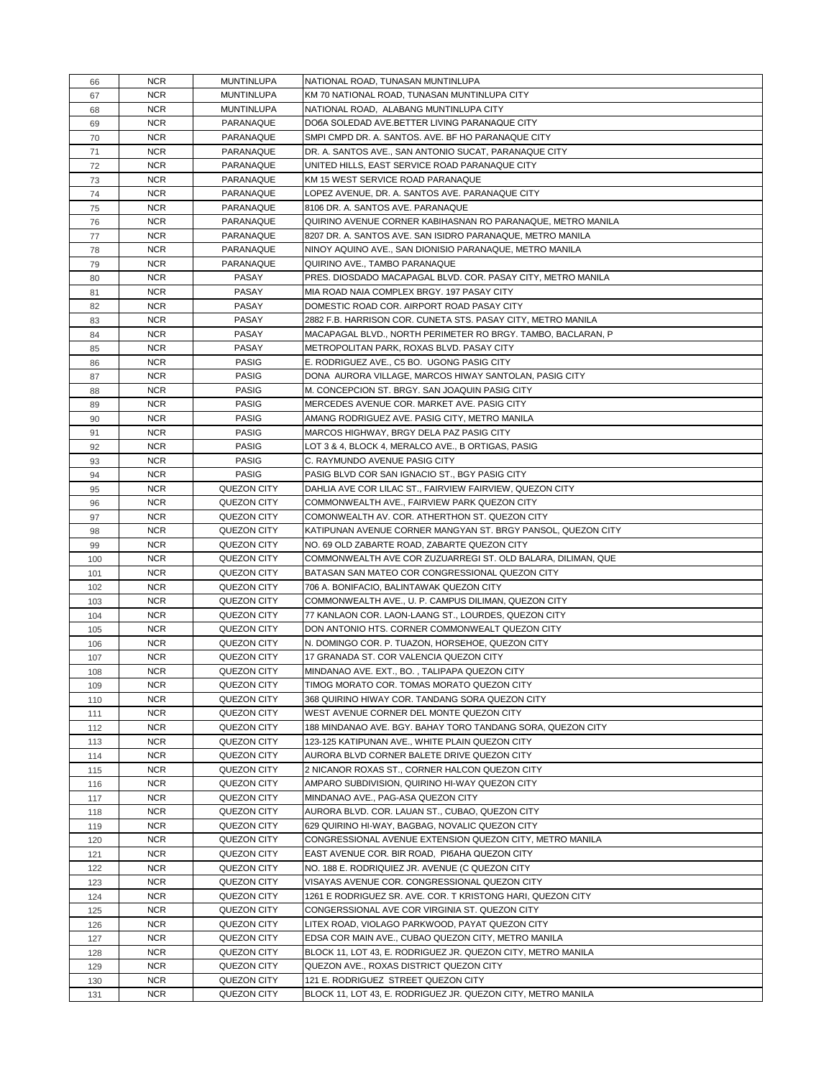| 66  | <b>NCR</b> | <b>MUNTINLUPA</b>  | NATIONAL ROAD, TUNASAN MUNTINLUPA                            |
|-----|------------|--------------------|--------------------------------------------------------------|
| 67  | <b>NCR</b> | <b>MUNTINLUPA</b>  | KM 70 NATIONAL ROAD, TUNASAN MUNTINLUPA CITY                 |
|     |            |                    |                                                              |
| 68  | <b>NCR</b> | <b>MUNTINLUPA</b>  | NATIONAL ROAD, ALABANG MUNTINLUPA CITY                       |
| 69  | <b>NCR</b> | PARANAQUE          | DO6A SOLEDAD AVE.BETTER LIVING PARANAQUE CITY                |
| 70  | <b>NCR</b> | PARANAQUE          | SMPI CMPD DR. A. SANTOS. AVE. BF HO PARANAQUE CITY           |
| 71  | <b>NCR</b> | PARANAQUE          | DR. A. SANTOS AVE., SAN ANTONIO SUCAT, PARANAQUE CITY        |
| 72  | <b>NCR</b> | PARANAQUE          | UNITED HILLS, EAST SERVICE ROAD PARANAQUE CITY               |
| 73  | <b>NCR</b> | PARANAQUE          | KM 15 WEST SERVICE ROAD PARANAQUE                            |
| 74  | <b>NCR</b> | PARANAQUE          | LOPEZ AVENUE, DR. A. SANTOS AVE. PARANAQUE CITY              |
| 75  | <b>NCR</b> | PARANAQUE          | 8106 DR. A. SANTOS AVE. PARANAQUE                            |
| 76  | <b>NCR</b> | PARANAQUE          | QUIRINO AVENUE CORNER KABIHASNAN RO PARANAQUE, METRO MANILA  |
| 77  | <b>NCR</b> | PARANAQUE          | 8207 DR. A. SANTOS AVE. SAN ISIDRO PARANAQUE, METRO MANILA   |
| 78  | <b>NCR</b> | PARANAQUE          | NINOY AQUINO AVE., SAN DIONISIO PARANAQUE, METRO MANILA      |
| 79  | <b>NCR</b> | PARANAQUE          | QUIRINO AVE., TAMBO PARANAQUE                                |
| 80  | <b>NCR</b> | PASAY              | PRES. DIOSDADO MACAPAGAL BLVD. COR. PASAY CITY, METRO MANILA |
| 81  | <b>NCR</b> | PASAY              | MIA ROAD NAIA COMPLEX BRGY. 197 PASAY CITY                   |
| 82  | <b>NCR</b> | PASAY              | DOMESTIC ROAD COR. AIRPORT ROAD PASAY CITY                   |
|     | <b>NCR</b> |                    |                                                              |
| 83  |            | PASAY              | 2882 F.B. HARRISON COR. CUNETA STS. PASAY CITY, METRO MANILA |
| 84  | <b>NCR</b> | PASAY              | MACAPAGAL BLVD., NORTH PERIMETER RO BRGY. TAMBO, BACLARAN, P |
| 85  | <b>NCR</b> | PASAY              | METROPOLITAN PARK, ROXAS BLVD. PASAY CITY                    |
| 86  | <b>NCR</b> | <b>PASIG</b>       | E. RODRIGUEZ AVE., C5 BO. UGONG PASIG CITY                   |
| 87  | <b>NCR</b> | <b>PASIG</b>       | DONA AURORA VILLAGE, MARCOS HIWAY SANTOLAN, PASIG CITY       |
| 88  | <b>NCR</b> | <b>PASIG</b>       | M. CONCEPCION ST. BRGY. SAN JOAQUIN PASIG CITY               |
| 89  | <b>NCR</b> | <b>PASIG</b>       | MERCEDES AVENUE COR. MARKET AVE. PASIG CITY                  |
| 90  | <b>NCR</b> | <b>PASIG</b>       | AMANG RODRIGUEZ AVE. PASIG CITY, METRO MANILA                |
| 91  | <b>NCR</b> | <b>PASIG</b>       | MARCOS HIGHWAY, BRGY DELA PAZ PASIG CITY                     |
| 92  | <b>NCR</b> | <b>PASIG</b>       | LOT 3 & 4, BLOCK 4, MERALCO AVE., B ORTIGAS, PASIG           |
| 93  | <b>NCR</b> | <b>PASIG</b>       | C. RAYMUNDO AVENUE PASIG CITY                                |
| 94  | <b>NCR</b> | <b>PASIG</b>       | PASIG BLVD COR SAN IGNACIO ST., BGY PASIG CITY               |
| 95  | <b>NCR</b> | QUEZON CITY        | DAHLIA AVE COR LILAC ST., FAIRVIEW FAIRVIEW, QUEZON CITY     |
| 96  | <b>NCR</b> | QUEZON CITY        | COMMONWEALTH AVE., FAIRVIEW PARK QUEZON CITY                 |
| 97  | <b>NCR</b> | QUEZON CITY        | COMONWEALTH AV. COR. ATHERTHON ST. QUEZON CITY               |
|     | <b>NCR</b> |                    | KATIPUNAN AVENUE CORNER MANGYAN ST. BRGY PANSOL, QUEZON CITY |
| 98  |            | QUEZON CITY        |                                                              |
| 99  | <b>NCR</b> | QUEZON CITY        | NO. 69 OLD ZABARTE ROAD, ZABARTE QUEZON CITY                 |
| 100 | <b>NCR</b> | QUEZON CITY        | COMMONWEALTH AVE COR ZUZUARREGI ST. OLD BALARA, DILIMAN, QUE |
| 101 | <b>NCR</b> | QUEZON CITY        | BATASAN SAN MATEO COR CONGRESSIONAL QUEZON CITY              |
| 102 | <b>NCR</b> | QUEZON CITY        | 706 A. BONIFACIO, BALINTAWAK QUEZON CITY                     |
| 103 | <b>NCR</b> | QUEZON CITY        | COMMONWEALTH AVE., U. P. CAMPUS DILIMAN, QUEZON CITY         |
| 104 | <b>NCR</b> | QUEZON CITY        | 77 KANLAON COR. LAON-LAANG ST., LOURDES, QUEZON CITY         |
| 105 | <b>NCR</b> | QUEZON CITY        | DON ANTONIO HTS. CORNER COMMONWEALT QUEZON CITY              |
| 106 | <b>NCR</b> | QUEZON CITY        | N. DOMINGO COR. P. TUAZON, HORSEHOE, QUEZON CITY             |
| 107 | <b>NCR</b> | QUEZON CITY        | 17 GRANADA ST. COR VALENCIA QUEZON CITY                      |
| 108 | <b>NCR</b> | QUEZON CITY        | MINDANAO AVE. EXT., BO., TALIPAPA QUEZON CITY                |
| 109 | <b>NCR</b> | QUEZON CITY        | TIMOG MORATO COR. TOMAS MORATO QUEZON CITY                   |
| 110 | <b>NCR</b> | QUEZON CITY        | 368 QUIRINO HIWAY COR. TANDANG SORA QUEZON CITY              |
| 111 | <b>NCR</b> | QUEZON CITY        | WEST AVENUE CORNER DEL MONTE QUEZON CITY                     |
| 112 | <b>NCR</b> | QUEZON CITY        | 188 MINDANAO AVE. BGY. BAHAY TORO TANDANG SORA, QUEZON CITY  |
| 113 | <b>NCR</b> | QUEZON CITY        | 123-125 KATIPUNAN AVE., WHITE PLAIN QUEZON CITY              |
| 114 | <b>NCR</b> | QUEZON CITY        | AURORA BLVD CORNER BALETE DRIVE QUEZON CITY                  |
| 115 | <b>NCR</b> | QUEZON CITY        | 2 NICANOR ROXAS ST., CORNER HALCON QUEZON CITY               |
| 116 | <b>NCR</b> | QUEZON CITY        | AMPARO SUBDIVISION, QUIRINO HI-WAY QUEZON CITY               |
|     | <b>NCR</b> | QUEZON CITY        | MINDANAO AVE., PAG-ASA QUEZON CITY                           |
| 117 |            |                    |                                                              |
| 118 | <b>NCR</b> | QUEZON CITY        | AURORA BLVD. COR. LAUAN ST., CUBAO, QUEZON CITY              |
| 119 | <b>NCR</b> | QUEZON CITY        | 629 QUIRINO HI-WAY, BAGBAG, NOVALIC QUEZON CITY              |
| 120 | <b>NCR</b> | QUEZON CITY        | CONGRESSIONAL AVENUE EXTENSION QUEZON CITY, METRO MANILA     |
| 121 | <b>NCR</b> | QUEZON CITY        | EAST AVENUE COR. BIR ROAD, PI6AHA QUEZON CITY                |
| 122 | <b>NCR</b> | QUEZON CITY        | NO. 188 E. RODRIQUIEZ JR. AVENUE (C QUEZON CITY              |
| 123 | <b>NCR</b> | QUEZON CITY        | VISAYAS AVENUE COR. CONGRESSIONAL QUEZON CITY                |
| 124 | <b>NCR</b> | QUEZON CITY        | 1261 E RODRIGUEZ SR. AVE. COR. T KRISTONG HARI, QUEZON CITY  |
| 125 | <b>NCR</b> | QUEZON CITY        | CONGERSSIONAL AVE COR VIRGINIA ST. QUEZON CITY               |
| 126 | <b>NCR</b> | QUEZON CITY        | LITEX ROAD, VIOLAGO PARKWOOD, PAYAT QUEZON CITY              |
| 127 | <b>NCR</b> | QUEZON CITY        | EDSA COR MAIN AVE., CUBAO QUEZON CITY, METRO MANILA          |
| 128 | <b>NCR</b> | <b>QUEZON CITY</b> | BLOCK 11, LOT 43, E. RODRIGUEZ JR. QUEZON CITY, METRO MANILA |
| 129 | <b>NCR</b> | QUEZON CITY        | QUEZON AVE., ROXAS DISTRICT QUEZON CITY                      |
| 130 | <b>NCR</b> | QUEZON CITY        | 121 E. RODRIGUEZ STREET QUEZON CITY                          |
| 131 | <b>NCR</b> | QUEZON CITY        | BLOCK 11, LOT 43, E. RODRIGUEZ JR. QUEZON CITY, METRO MANILA |
|     |            |                    |                                                              |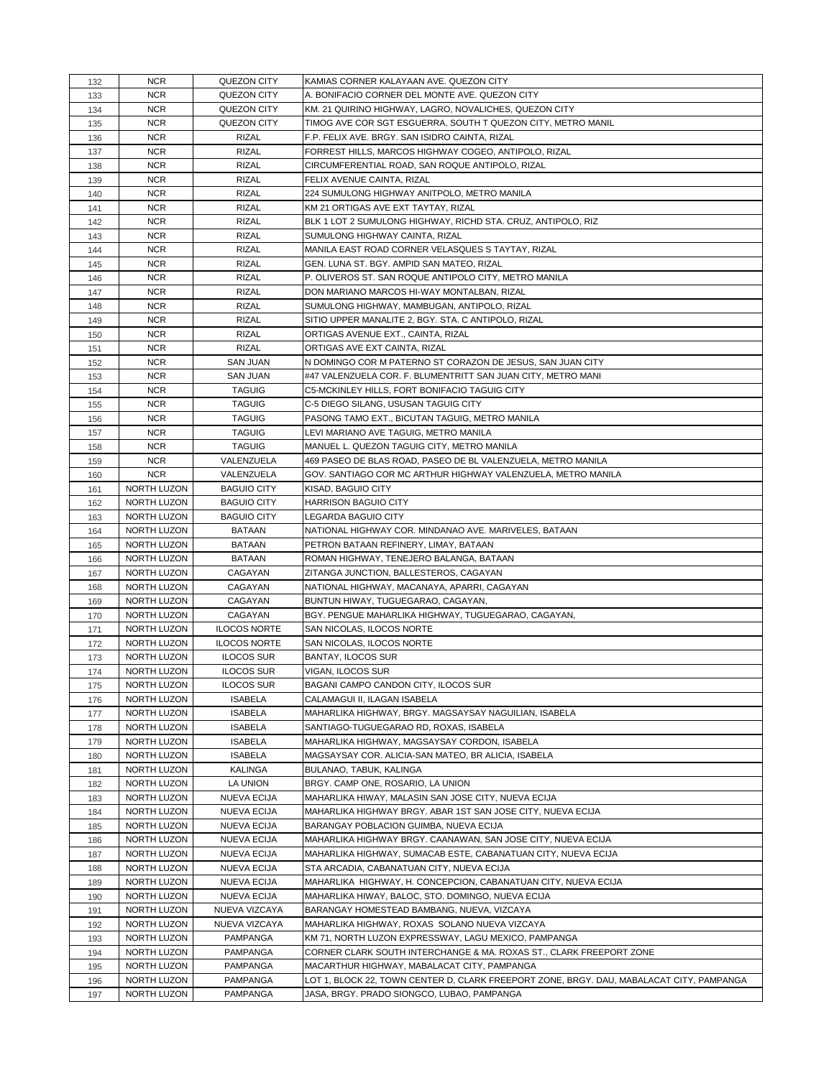| 132 | <b>NCR</b>  | QUEZON CITY         | KAMIAS CORNER KALAYAAN AVE. QUEZON CITY                                                  |
|-----|-------------|---------------------|------------------------------------------------------------------------------------------|
| 133 | <b>NCR</b>  | QUEZON CITY         | A. BONIFACIO CORNER DEL MONTE AVE. QUEZON CITY                                           |
| 134 | <b>NCR</b>  | QUEZON CITY         | KM. 21 QUIRINO HIGHWAY, LAGRO, NOVALICHES, QUEZON CITY                                   |
| 135 | <b>NCR</b>  | QUEZON CITY         | TIMOG AVE COR SGT ESGUERRA, SOUTH T QUEZON CITY, METRO MANIL                             |
| 136 | <b>NCR</b>  | <b>RIZAL</b>        | F.P. FELIX AVE. BRGY. SAN ISIDRO CAINTA, RIZAL                                           |
| 137 | <b>NCR</b>  | <b>RIZAL</b>        | FORREST HILLS, MARCOS HIGHWAY COGEO, ANTIPOLO, RIZAL                                     |
| 138 | <b>NCR</b>  | <b>RIZAL</b>        | CIRCUMFERENTIAL ROAD, SAN ROQUE ANTIPOLO, RIZAL                                          |
| 139 | <b>NCR</b>  | <b>RIZAL</b>        | FELIX AVENUE CAINTA, RIZAL                                                               |
| 140 | <b>NCR</b>  | <b>RIZAL</b>        | 224 SUMULONG HIGHWAY ANITPOLO, METRO MANILA                                              |
|     | <b>NCR</b>  | <b>RIZAL</b>        | KM 21 ORTIGAS AVE EXT TAYTAY, RIZAL                                                      |
| 141 | <b>NCR</b>  | <b>RIZAL</b>        | BLK 1 LOT 2 SUMULONG HIGHWAY, RICHD STA. CRUZ, ANTIPOLO, RIZ                             |
| 142 |             |                     | SUMULONG HIGHWAY CAINTA, RIZAL                                                           |
| 143 | <b>NCR</b>  | <b>RIZAL</b>        |                                                                                          |
| 144 | <b>NCR</b>  | <b>RIZAL</b>        | MANILA EAST ROAD CORNER VELASQUES S TAYTAY, RIZAL                                        |
| 145 | <b>NCR</b>  | <b>RIZAL</b>        | GEN. LUNA ST. BGY. AMPID SAN MATEO, RIZAL                                                |
| 146 | <b>NCR</b>  | <b>RIZAL</b>        | P. OLIVEROS ST. SAN ROQUE ANTIPOLO CITY, METRO MANILA                                    |
| 147 | <b>NCR</b>  | <b>RIZAL</b>        | DON MARIANO MARCOS HI-WAY MONTALBAN, RIZAL                                               |
| 148 | <b>NCR</b>  | <b>RIZAL</b>        | SUMULONG HIGHWAY, MAMBUGAN, ANTIPOLO, RIZAL                                              |
| 149 | <b>NCR</b>  | <b>RIZAL</b>        | SITIO UPPER MANALITE 2, BGY. STA. C ANTIPOLO, RIZAL                                      |
| 150 | <b>NCR</b>  | <b>RIZAL</b>        | ORTIGAS AVENUE EXT., CAINTA, RIZAL                                                       |
| 151 | <b>NCR</b>  | <b>RIZAL</b>        | ORTIGAS AVE EXT CAINTA, RIZAL                                                            |
| 152 | <b>NCR</b>  | <b>SAN JUAN</b>     | N DOMINGO COR M PATERNO ST CORAZON DE JESUS, SAN JUAN CITY                               |
| 153 | <b>NCR</b>  | <b>SAN JUAN</b>     | #47 VALENZUELA COR. F. BLUMENTRITT SAN JUAN CITY, METRO MANI                             |
| 154 | <b>NCR</b>  | <b>TAGUIG</b>       | C5-MCKINLEY HILLS, FORT BONIFACIO TAGUIG CITY                                            |
| 155 | <b>NCR</b>  | <b>TAGUIG</b>       | C-5 DIEGO SILANG, USUSAN TAGUIG CITY                                                     |
| 156 | <b>NCR</b>  | <b>TAGUIG</b>       | PASONG TAMO EXT., BICUTAN TAGUIG, METRO MANILA                                           |
| 157 | <b>NCR</b>  | <b>TAGUIG</b>       | LEVI MARIANO AVE TAGUIG, METRO MANILA                                                    |
| 158 | <b>NCR</b>  | <b>TAGUIG</b>       | MANUEL L. QUEZON TAGUIG CITY, METRO MANILA                                               |
| 159 | <b>NCR</b>  | VALENZUELA          | 469 PASEO DE BLAS ROAD, PASEO DE BL VALENZUELA, METRO MANILA                             |
| 160 | <b>NCR</b>  | VALENZUELA          | GOV. SANTIAGO COR MC ARTHUR HIGHWAY VALENZUELA, METRO MANILA                             |
| 161 | NORTH LUZON | <b>BAGUIO CITY</b>  | KISAD, BAGUIO CITY                                                                       |
| 162 | NORTH LUZON | <b>BAGUIO CITY</b>  | <b>HARRISON BAGUIO CITY</b>                                                              |
| 163 | NORTH LUZON | <b>BAGUIO CITY</b>  | <b>LEGARDA BAGUIO CITY</b>                                                               |
| 164 | NORTH LUZON | BATAAN              | NATIONAL HIGHWAY COR. MINDANAO AVE. MARIVELES, BATAAN                                    |
| 165 | NORTH LUZON | <b>BATAAN</b>       | PETRON BATAAN REFINERY, LIMAY, BATAAN                                                    |
| 166 | NORTH LUZON | <b>BATAAN</b>       | ROMAN HIGHWAY, TENEJERO BALANGA, BATAAN                                                  |
| 167 | NORTH LUZON | CAGAYAN             | ZITANGA JUNCTION, BALLESTEROS, CAGAYAN                                                   |
| 168 | NORTH LUZON | CAGAYAN             | NATIONAL HIGHWAY, MACANAYA, APARRI, CAGAYAN                                              |
| 169 | NORTH LUZON | CAGAYAN             | BUNTUN HIWAY, TUGUEGARAO, CAGAYAN,                                                       |
| 170 | NORTH LUZON | CAGAYAN             | BGY. PENGUE MAHARLIKA HIGHWAY, TUGUEGARAO, CAGAYAN,                                      |
| 171 | NORTH LUZON | <b>ILOCOS NORTE</b> | SAN NICOLAS, ILOCOS NORTE                                                                |
| 172 | NORTH LUZON | <b>ILOCOS NORTE</b> | SAN NICOLAS, ILOCOS NORTE                                                                |
| 173 | NORTH LUZON | <b>ILOCOS SUR</b>   | BANTAY, ILOCOS SUR                                                                       |
| 174 | NORTH LUZON | <b>ILOCOS SUR</b>   | VIGAN, ILOCOS SUR                                                                        |
| 175 | NORTH LUZON | <b>ILOCOS SUR</b>   | BAGANI CAMPO CANDON CITY, ILOCOS SUR                                                     |
| 176 | NORTH LUZON | <b>ISABELA</b>      | CALAMAGUI II, ILAGAN ISABELA                                                             |
| 177 | NORTH LUZON | <b>ISABELA</b>      | MAHARLIKA HIGHWAY, BRGY. MAGSAYSAY NAGUILIAN, ISABELA                                    |
| 178 | NORTH LUZON | <b>ISABELA</b>      | SANTIAGO-TUGUEGARAO RD, ROXAS, ISABELA                                                   |
| 179 | NORTH LUZON | <b>ISABELA</b>      | MAHARLIKA HIGHWAY, MAGSAYSAY CORDON, ISABELA                                             |
| 180 | NORTH LUZON | <b>ISABELA</b>      | MAGSAYSAY COR. ALICIA-SAN MATEO, BR ALICIA, ISABELA                                      |
| 181 | NORTH LUZON | <b>KALINGA</b>      | BULANAO, TABUK, KALINGA                                                                  |
| 182 | NORTH LUZON | LA UNION            | BRGY. CAMP ONE, ROSARIO, LA UNION                                                        |
| 183 | NORTH LUZON | <b>NUEVA ECIJA</b>  | MAHARLIKA HIWAY, MALASIN SAN JOSE CITY, NUEVA ECIJA                                      |
| 184 | NORTH LUZON | <b>NUEVA ECIJA</b>  | MAHARLIKA HIGHWAY BRGY. ABAR 1ST SAN JOSE CITY, NUEVA ECIJA                              |
| 185 | NORTH LUZON | <b>NUEVA ECIJA</b>  | BARANGAY POBLACION GUIMBA, NUEVA ECIJA                                                   |
| 186 | NORTH LUZON | <b>NUEVA ECIJA</b>  | MAHARLIKA HIGHWAY BRGY. CAANAWAN, SAN JOSE CITY, NUEVA ECIJA                             |
| 187 | NORTH LUZON | <b>NUEVA ECIJA</b>  | MAHARLIKA HIGHWAY, SUMACAB ESTE, CABANATUAN CITY, NUEVA ECIJA                            |
| 188 | NORTH LUZON | <b>NUEVA ECIJA</b>  | STA ARCADIA, CABANATUAN CITY, NUEVA ECIJA                                                |
| 189 | NORTH LUZON | NUEVA ECIJA         | MAHARLIKA HIGHWAY, H. CONCEPCION, CABANATUAN CITY, NUEVA ECIJA                           |
| 190 | NORTH LUZON | <b>NUEVA ECIJA</b>  | MAHARLIKA HIWAY, BALOC, STO. DOMINGO, NUEVA ECIJA                                        |
| 191 | NORTH LUZON | NUEVA VIZCAYA       | BARANGAY HOMESTEAD BAMBANG, NUEVA, VIZCAYA                                               |
| 192 | NORTH LUZON | NUEVA VIZCAYA       | MAHARLIKA HIGHWAY, ROXAS SOLANO NUEVA VIZCAYA                                            |
| 193 | NORTH LUZON | PAMPANGA            | KM 71, NORTH LUZON EXPRESSWAY, LAGU MEXICO, PAMPANGA                                     |
| 194 | NORTH LUZON | PAMPANGA            | CORNER CLARK SOUTH INTERCHANGE & MA. ROXAS ST., CLARK FREEPORT ZONE                      |
| 195 | NORTH LUZON | PAMPANGA            | MACARTHUR HIGHWAY, MABALACAT CITY, PAMPANGA                                              |
| 196 | NORTH LUZON | PAMPANGA            | LOT 1, BLOCK 22, TOWN CENTER D, CLARK FREEPORT ZONE, BRGY. DAU, MABALACAT CITY, PAMPANGA |
| 197 | NORTH LUZON | PAMPANGA            | JASA, BRGY. PRADO SIONGCO, LUBAO, PAMPANGA                                               |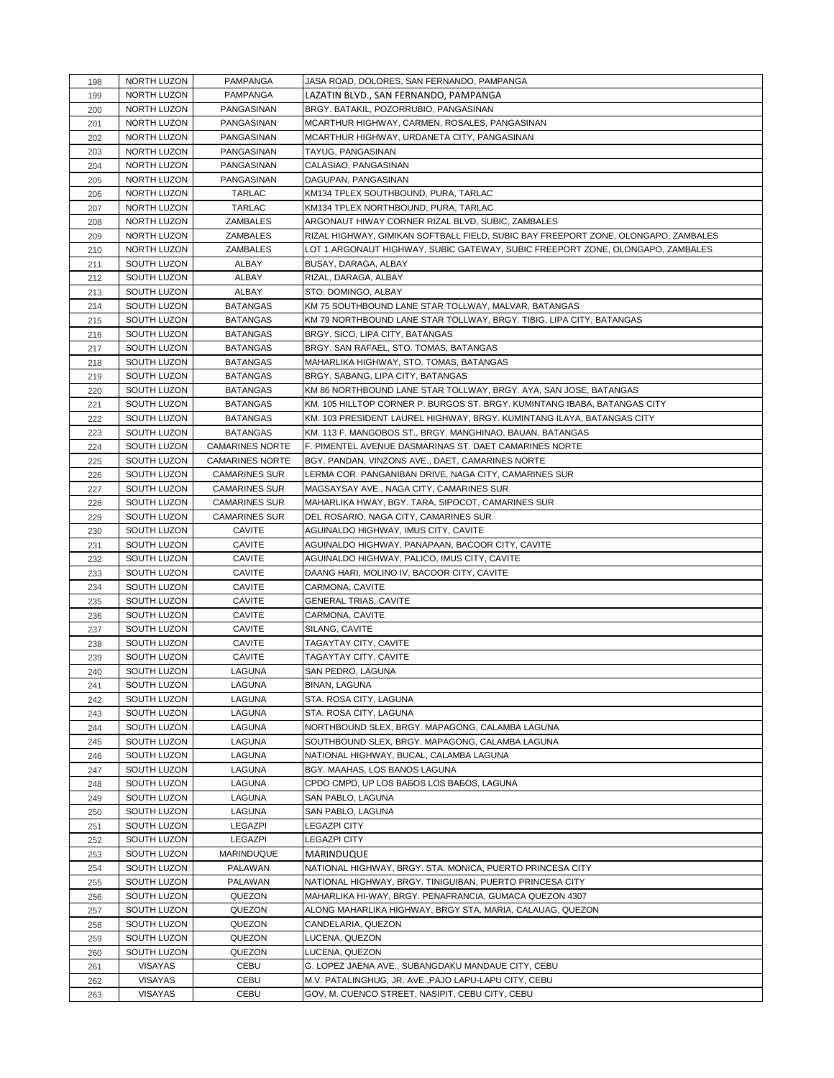| 198 | NORTH LUZON | PAMPANGA               | JASA ROAD, DOLORES, SAN FERNANDO, PAMPANGA                                         |
|-----|-------------|------------------------|------------------------------------------------------------------------------------|
| 199 | NORTH LUZON | <b>PAMPANGA</b>        | LAZATIN BLVD., SAN FERNANDO, PAMPANGA                                              |
| 200 | NORTH LUZON | PANGASINAN             | BRGY. BATAKIL, POZORRUBIO, PANGASINAN                                              |
| 201 | NORTH LUZON | PANGASINAN             | MCARTHUR HIGHWAY, CARMEN, ROSALES, PANGASINAN                                      |
| 202 | NORTH LUZON | PANGASINAN             | MCARTHUR HIGHWAY, URDANETA CITY, PANGASINAN                                        |
| 203 | NORTH LUZON | PANGASINAN             | TAYUG, PANGASINAN                                                                  |
| 204 | NORTH LUZON | PANGASINAN             | CALASIAO, PANGASINAN                                                               |
| 205 | NORTH LUZON | PANGASINAN             | DAGUPAN, PANGASINAN                                                                |
| 206 | NORTH LUZON | <b>TARLAC</b>          | KM134 TPLEX SOUTHBOUND, PURA, TARLAC                                               |
| 207 | NORTH LUZON | TARLAC                 | KM134 TPLEX NORTHBOUND, PURA, TARLAC                                               |
| 208 | NORTH LUZON | ZAMBALES               | ARGONAUT HIWAY CORNER RIZAL BLVD, SUBIC, ZAMBALES                                  |
| 209 | NORTH LUZON | ZAMBALES               | RIZAL HIGHWAY, GIMIKAN SOFTBALL FIELD, SUBIC BAY FREEPORT ZONE, OLONGAPO, ZAMBALES |
| 210 | NORTH LUZON | ZAMBALES               | LOT 1 ARGONAUT HIGHWAY, SUBIC GATEWAY, SUBIC FREEPORT ZONE, OLONGAPO, ZAMBALES     |
| 211 | SOUTH LUZON | ALBAY                  | BUSAY, DARAGA, ALBAY                                                               |
| 212 | SOUTH LUZON | ALBAY                  | RIZAL, DARAGA, ALBAY                                                               |
| 213 | SOUTH LUZON | <b>ALBAY</b>           | STO. DOMINGO, ALBAY                                                                |
| 214 | SOUTH LUZON | <b>BATANGAS</b>        | KM 75 SOUTHBOUND LANE STAR TOLLWAY, MALVAR, BATANGAS                               |
| 215 | SOUTH LUZON | <b>BATANGAS</b>        | KM 79 NORTHBOUND LANE STAR TOLLWAY, BRGY. TIBIG, LIPA CITY, BATANGAS               |
| 216 | SOUTH LUZON | <b>BATANGAS</b>        | BRGY. SICO, LIPA CITY, BATANGAS                                                    |
| 217 | SOUTH LUZON | <b>BATANGAS</b>        | BRGY. SAN RAFAEL, STO. TOMAS, BATANGAS                                             |
| 218 | SOUTH LUZON | <b>BATANGAS</b>        | MAHARLIKA HIGHWAY, STO. TOMAS, BATANGAS                                            |
| 219 | SOUTH LUZON | <b>BATANGAS</b>        | BRGY. SABANG, LIPA CITY, BATANGAS                                                  |
| 220 | SOUTH LUZON | <b>BATANGAS</b>        | KM 86 NORTHBOUND LANE STAR TOLLWAY, BRGY. AYA, SAN JOSE, BATANGAS                  |
| 221 | SOUTH LUZON | <b>BATANGAS</b>        | KM. 105 HILLTOP CORNER P. BURGOS ST. BRGY. KUMINTANG IBABA, BATANGAS CITY          |
| 222 | SOUTH LUZON | <b>BATANGAS</b>        | KM. 103 PRESIDENT LAUREL HIGHWAY, BRGY. KUMINTANG ILAYA, BATANGAS CITY             |
| 223 | SOUTH LUZON | <b>BATANGAS</b>        | KM. 113 F. MANGOBOS ST., BRGY. MANGHINAO, BAUAN, BATANGAS                          |
| 224 | SOUTH LUZON | <b>CAMARINES NORTE</b> | F. PIMENTEL AVENUE DASMARINAS ST. DAET CAMARINES NORTE                             |
| 225 | SOUTH LUZON | <b>CAMARINES NORTE</b> | BGY. PANDAN, VINZONS AVE., DAET, CAMARINES NORTE                                   |
| 226 | SOUTH LUZON | <b>CAMARINES SUR</b>   | LERMA COR. PANGANIBAN DRIVE, NAGA CITY, CAMARINES SUR                              |
| 227 | SOUTH LUZON | <b>CAMARINES SUR</b>   | MAGSAYSAY AVE., NAGA CITY, CAMARINES SUR                                           |
| 228 | SOUTH LUZON | <b>CAMARINES SUR</b>   | MAHARLIKA HWAY, BGY. TARA, SIPOCOT, CAMARINES SUR                                  |
| 229 | SOUTH LUZON | <b>CAMARINES SUR</b>   | DEL ROSARIO, NAGA CITY, CAMARINES SUR                                              |
| 230 | SOUTH LUZON | <b>CAVITE</b>          | AGUINALDO HIGHWAY, IMUS CITY, CAVITE                                               |
| 231 | SOUTH LUZON | <b>CAVITE</b>          | AGUINALDO HIGHWAY, PANAPAAN, BACOOR CITY, CAVITE                                   |
| 232 | SOUTH LUZON | <b>CAVITE</b>          | AGUINALDO HIGHWAY, PALICO, IMUS CITY, CAVITE                                       |
| 233 | SOUTH LUZON | <b>CAVITE</b>          | DAANG HARI, MOLINO IV, BACOOR CITY, CAVITE                                         |
| 234 | SOUTH LUZON | <b>CAVITE</b>          | CARMONA, CAVITE                                                                    |
| 235 | SOUTH LUZON | <b>CAVITE</b>          | <b>GENERAL TRIAS, CAVITE</b>                                                       |
| 236 | SOUTH LUZON | <b>CAVITE</b>          | CARMONA, CAVITE                                                                    |
| 237 | SOUTH LUZON | <b>CAVITE</b>          | SILANG, CAVITE                                                                     |
| 238 | SOUTH LUZON | <b>CAVITE</b>          | TAGAYTAY CITY, CAVITE                                                              |
| 239 | SOUTH LUZON | <b>CAVITE</b>          | TAGAYTAY CITY, CAVITE                                                              |
| 240 | SOUTH LUZON | LAGUNA                 | SAN PEDRO, LAGUNA                                                                  |
| 241 | SOUTH LUZON | LAGUNA                 | BINAN, LAGUNA                                                                      |
| 242 | SOUTH LUZON | LAGUNA                 | STA. ROSA CITY, LAGUNA                                                             |
| 243 | SOUTH LUZON | LAGUNA                 | STA. ROSA CITY, LAGUNA                                                             |
| 244 | SOUTH LUZON | LAGUNA                 | NORTHBOUND SLEX, BRGY. MAPAGONG, CALAMBA LAGUNA                                    |
| 245 | SOUTH LUZON | LAGUNA                 | SOUTHBOUND SLEX, BRGY. MAPAGONG, CALAMBA LAGUNA                                    |
| 246 | SOUTH LUZON | LAGUNA                 | NATIONAL HIGHWAY, BUCAL, CALAMBA LAGUNA                                            |
| 247 | SOUTH LUZON | LAGUNA                 | BGY. MAAHAS, LOS BANOS LAGUNA                                                      |
| 248 | SOUTH LUZON | LAGUNA                 | CPDO CMPD, UP LOS BABOS LOS BABOS, LAGUNA                                          |
| 249 | SOUTH LUZON | LAGUNA                 | SAN PABLO, LAGUNA                                                                  |
| 250 | SOUTH LUZON | LAGUNA                 | SAN PABLO, LAGUNA                                                                  |
| 251 | SOUTH LUZON | LEGAZPI                | <b>LEGAZPI CITY</b>                                                                |
| 252 | SOUTH LUZON | <b>LEGAZPI</b>         | LEGAZPI CITY                                                                       |
| 253 | SOUTH LUZON | MARINDUQUE             | MARINDUQUE                                                                         |
| 254 | SOUTH LUZON | PALAWAN                | NATIONAL HIGHWAY, BRGY. STA. MONICA, PUERTO PRINCESA CITY                          |
| 255 | SOUTH LUZON | PALAWAN                | NATIONAL HIGHWAY, BRGY. TINIGUIBAN, PUERTO PRINCESA CITY                           |
| 256 | SOUTH LUZON | QUEZON                 | MAHARLIKA HI-WAY, BRGY. PENAFRANCIA, GUMACA QUEZON 4307                            |
| 257 | SOUTH LUZON | QUEZON                 | ALONG MAHARLIKA HIGHWAY, BRGY STA. MARIA, CALAUAG, QUEZON                          |
| 258 | SOUTH LUZON | QUEZON                 | CANDELARIA, QUEZON                                                                 |
| 259 | SOUTH LUZON | QUEZON                 | LUCENA, QUEZON                                                                     |
| 260 | SOUTH LUZON | QUEZON                 | LUCENA, QUEZON                                                                     |
| 261 | VISAYAS     | CEBU                   | G. LOPEZ JAENA AVE., SUBANGDAKU MANDAUE CITY, CEBU                                 |
| 262 |             | CEBU                   | M.V. PATALINGHUG, JR. AVE., PAJO LAPU-LAPU CITY, CEBU                              |
|     | VISAYAS     |                        |                                                                                    |